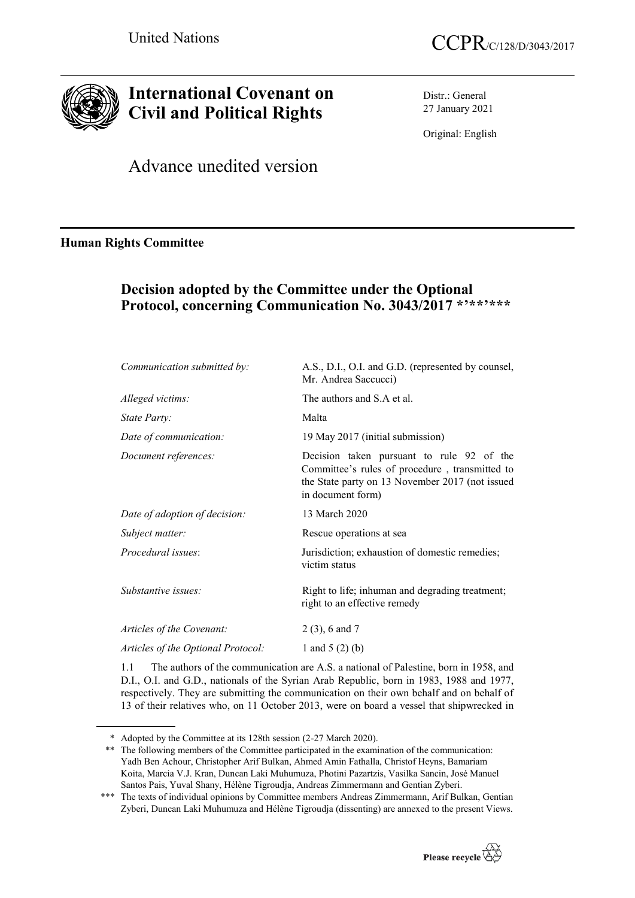



# **International Covenant on Civil and Political Rights**

Distr.: General 27 January 2021

Original: English

Advance unedited version

### **Human Rights Committee**

# **Decision adopted by the Committee under the Optional Protocol, concerning Communication No. 3043/2017 \*'\*\*'\*\*\***

| Communication submitted by:        | A.S., D.I., O.I. and G.D. (represented by counsel,<br>Mr. Andrea Saccucci)                                                                                          |
|------------------------------------|---------------------------------------------------------------------------------------------------------------------------------------------------------------------|
| Alleged victims:                   | The authors and S.A et al.                                                                                                                                          |
| State Party:                       | Malta                                                                                                                                                               |
| Date of communication:             | 19 May 2017 (initial submission)                                                                                                                                    |
| Document references:               | Decision taken pursuant to rule 92 of the<br>Committee's rules of procedure, transmitted to<br>the State party on 13 November 2017 (not issued<br>in document form) |
| Date of adoption of decision:      | 13 March 2020                                                                                                                                                       |
| Subject matter:                    | Rescue operations at sea                                                                                                                                            |
| Procedural issues                  | Jurisdiction; exhaustion of domestic remedies;<br>victim status                                                                                                     |
| Substantive issues:                | Right to life; inhuman and degrading treatment;<br>right to an effective remedy                                                                                     |
| Articles of the Covenant:          | $2(3)$ , 6 and 7                                                                                                                                                    |
| Articles of the Optional Protocol: | 1 and 5 $(2)$ (b)                                                                                                                                                   |
|                                    |                                                                                                                                                                     |

1.1 The authors of the communication are A.S. a national of Palestine, born in 1958, and D.I., O.I. and G.D., nationals of the Syrian Arab Republic, born in 1983, 1988 and 1977, respectively. They are submitting the communication on their own behalf and on behalf of 13 of their relatives who, on 11 October 2013, were on board a vessel that shipwrecked in

<sup>\*\*\*</sup> The texts of individual opinions by Committee members Andreas Zimmermann, Arif Bulkan, Gentian Zyberi, Duncan Laki Muhumuza and Hélène Tigroudja (dissenting) are annexed to the present Views.



<sup>\*</sup> Adopted by the Committee at its 128th session (2-27 March 2020).

<sup>\*\*</sup> The following members of the Committee participated in the examination of the communication: Yadh Ben Achour, Christopher Arif Bulkan, Ahmed Amin Fathalla, Christof Heyns, Bamariam Koita, Marcia V.J. Kran, Duncan Laki Muhumuza, Photini Pazartzis, Vasilka Sancin, José Manuel Santos Pais, Yuval Shany, Hélène Tigroudja, Andreas Zimmermann and Gentian Zyberi.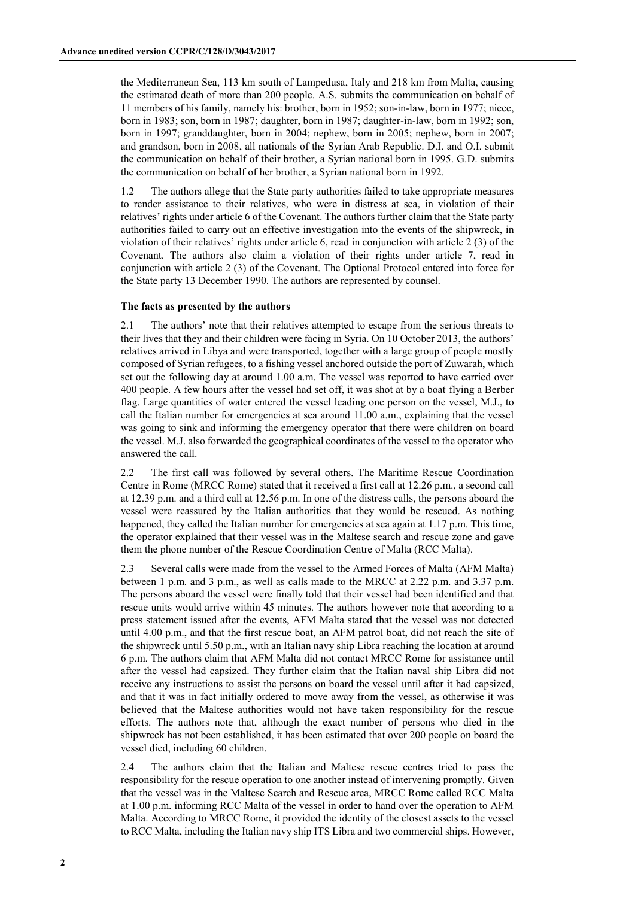the Mediterranean Sea, 113 km south of Lampedusa, Italy and 218 km from Malta, causing the estimated death of more than 200 people. A.S. submits the communication on behalf of 11 members of his family, namely his: brother, born in 1952; son-in-law, born in 1977; niece, born in 1983; son, born in 1987; daughter, born in 1987; daughter-in-law, born in 1992; son, born in 1997; granddaughter, born in 2004; nephew, born in 2005; nephew, born in 2007; and grandson, born in 2008, all nationals of the Syrian Arab Republic. D.I. and O.I. submit the communication on behalf of their brother, a Syrian national born in 1995. G.D. submits the communication on behalf of her brother, a Syrian national born in 1992.

1.2 The authors allege that the State party authorities failed to take appropriate measures to render assistance to their relatives, who were in distress at sea, in violation of their relatives' rights under article 6 of the Covenant. The authors further claim that the State party authorities failed to carry out an effective investigation into the events of the shipwreck, in violation of their relatives' rights under article 6, read in conjunction with article 2 (3) of the Covenant. The authors also claim a violation of their rights under article 7, read in conjunction with article 2 (3) of the Covenant. The Optional Protocol entered into force for the State party 13 December 1990. The authors are represented by counsel.

### **The facts as presented by the authors**

2.1 The authors' note that their relatives attempted to escape from the serious threats to their lives that they and their children were facing in Syria. On 10 October 2013, the authors' relatives arrived in Libya and were transported, together with a large group of people mostly composed of Syrian refugees, to a fishing vessel anchored outside the port of Zuwarah, which set out the following day at around 1.00 a.m. The vessel was reported to have carried over 400 people. A few hours after the vessel had set off, it was shot at by a boat flying a Berber flag. Large quantities of water entered the vessel leading one person on the vessel, M.J., to call the Italian number for emergencies at sea around 11.00 a.m., explaining that the vessel was going to sink and informing the emergency operator that there were children on board the vessel. M.J. also forwarded the geographical coordinates of the vessel to the operator who answered the call.

2.2 The first call was followed by several others. The Maritime Rescue Coordination Centre in Rome (MRCC Rome) stated that it received a first call at 12.26 p.m., a second call at 12.39 p.m. and a third call at 12.56 p.m. In one of the distress calls, the persons aboard the vessel were reassured by the Italian authorities that they would be rescued. As nothing happened, they called the Italian number for emergencies at sea again at 1.17 p.m. This time, the operator explained that their vessel was in the Maltese search and rescue zone and gave them the phone number of the Rescue Coordination Centre of Malta (RCC Malta).

2.3 Several calls were made from the vessel to the Armed Forces of Malta (AFM Malta) between 1 p.m. and 3 p.m., as well as calls made to the MRCC at 2.22 p.m. and 3.37 p.m. The persons aboard the vessel were finally told that their vessel had been identified and that rescue units would arrive within 45 minutes. The authors however note that according to a press statement issued after the events, AFM Malta stated that the vessel was not detected until 4.00 p.m., and that the first rescue boat, an AFM patrol boat, did not reach the site of the shipwreck until 5.50 p.m., with an Italian navy ship Libra reaching the location at around 6 p.m. The authors claim that AFM Malta did not contact MRCC Rome for assistance until after the vessel had capsized. They further claim that the Italian naval ship Libra did not receive any instructions to assist the persons on board the vessel until after it had capsized, and that it was in fact initially ordered to move away from the vessel, as otherwise it was believed that the Maltese authorities would not have taken responsibility for the rescue efforts. The authors note that, although the exact number of persons who died in the shipwreck has not been established, it has been estimated that over 200 people on board the vessel died, including 60 children.

2.4 The authors claim that the Italian and Maltese rescue centres tried to pass the responsibility for the rescue operation to one another instead of intervening promptly. Given that the vessel was in the Maltese Search and Rescue area, MRCC Rome called RCC Malta at 1.00 p.m. informing RCC Malta of the vessel in order to hand over the operation to AFM Malta. According to MRCC Rome, it provided the identity of the closest assets to the vessel to RCC Malta, including the Italian navy ship ITS Libra and two commercial ships. However,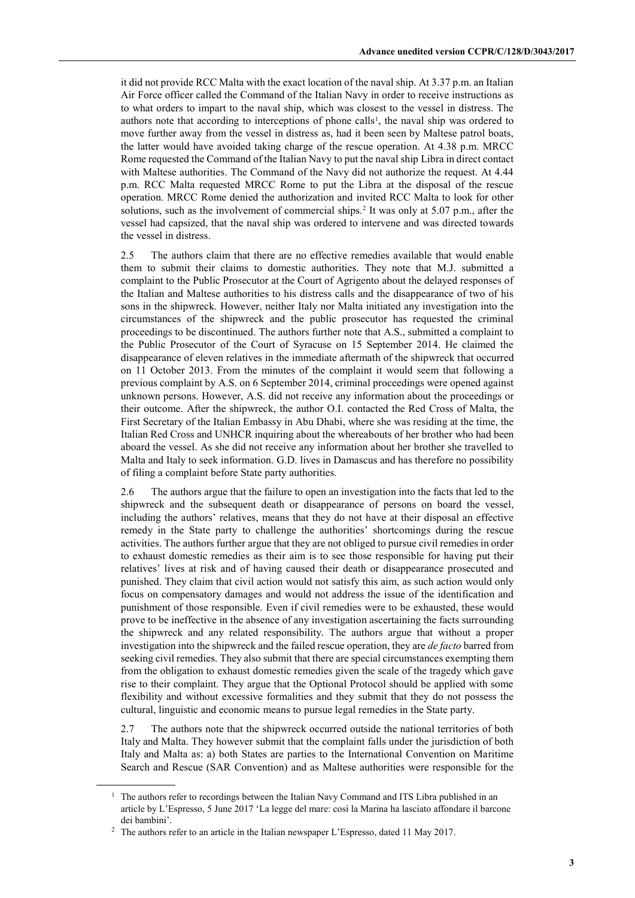it did not provide RCC Malta with the exact location of the naval ship. At 3.37 p.m. an Italian Air Force officer called the Command of the Italian Navy in order to receive instructions as to what orders to impart to the naval ship, which was closest to the vessel in distress. The authors note that according to interceptions of phone calls1, the naval ship was ordered to move further away from the vessel in distress as, had it been seen by Maltese patrol boats, the latter would have avoided taking charge of the rescue operation. At 4.38 p.m. MRCC Rome requested the Command of the Italian Navy to put the naval ship Libra in direct contact with Maltese authorities. The Command of the Navy did not authorize the request. At 4.44 p.m. RCC Malta requested MRCC Rome to put the Libra at the disposal of the rescue operation. MRCC Rome denied the authorization and invited RCC Malta to look for other solutions, such as the involvement of commercial ships.<sup>2</sup> It was only at 5.07 p.m., after the vessel had capsized, that the naval ship was ordered to intervene and was directed towards the vessel in distress.

2.5 The authors claim that there are no effective remedies available that would enable them to submit their claims to domestic authorities. They note that M.J. submitted a complaint to the Public Prosecutor at the Court of Agrigento about the delayed responses of the Italian and Maltese authorities to his distress calls and the disappearance of two of his sons in the shipwreck. However, neither Italy nor Malta initiated any investigation into the circumstances of the shipwreck and the public prosecutor has requested the criminal proceedings to be discontinued. The authors further note that A.S., submitted a complaint to the Public Prosecutor of the Court of Syracuse on 15 September 2014. He claimed the disappearance of eleven relatives in the immediate aftermath of the shipwreck that occurred on 11 October 2013. From the minutes of the complaint it would seem that following a previous complaint by A.S. on 6 September 2014, criminal proceedings were opened against unknown persons. However, A.S. did not receive any information about the proceedings or their outcome. After the shipwreck, the author O.I. contacted the Red Cross of Malta, the First Secretary of the Italian Embassy in Abu Dhabi, where she was residing at the time, the Italian Red Cross and UNHCR inquiring about the whereabouts of her brother who had been aboard the vessel. As she did not receive any information about her brother she travelled to Malta and Italy to seek information. G.D. lives in Damascus and has therefore no possibility of filing a complaint before State party authorities.

2.6 The authors argue that the failure to open an investigation into the facts that led to the shipwreck and the subsequent death or disappearance of persons on board the vessel, including the authors' relatives, means that they do not have at their disposal an effective remedy in the State party to challenge the authorities' shortcomings during the rescue activities. The authors further argue that they are not obliged to pursue civil remedies in order to exhaust domestic remedies as their aim is to see those responsible for having put their relatives' lives at risk and of having caused their death or disappearance prosecuted and punished. They claim that civil action would not satisfy this aim, as such action would only focus on compensatory damages and would not address the issue of the identification and punishment of those responsible. Even if civil remedies were to be exhausted, these would prove to be ineffective in the absence of any investigation ascertaining the facts surrounding the shipwreck and any related responsibility. The authors argue that without a proper investigation into the shipwreck and the failed rescue operation, they are *de facto* barred from seeking civil remedies. They also submit that there are special circumstances exempting them from the obligation to exhaust domestic remedies given the scale of the tragedy which gave rise to their complaint. They argue that the Optional Protocol should be applied with some flexibility and without excessive formalities and they submit that they do not possess the cultural, linguistic and economic means to pursue legal remedies in the State party.

2.7 The authors note that the shipwreck occurred outside the national territories of both Italy and Malta. They however submit that the complaint falls under the jurisdiction of both Italy and Malta as: a) both States are parties to the International Convention on Maritime Search and Rescue (SAR Convention) and as Maltese authorities were responsible for the

<sup>&</sup>lt;sup>1</sup> The authors refer to recordings between the Italian Navy Command and ITS Libra published in an article by L'Espresso, 5 June 2017 'La legge del mare: così la Marina ha lasciato affondare il barcone dei bambini'.

<sup>&</sup>lt;sup>2</sup> The authors refer to an article in the Italian newspaper L'Espresso, dated 11 May 2017.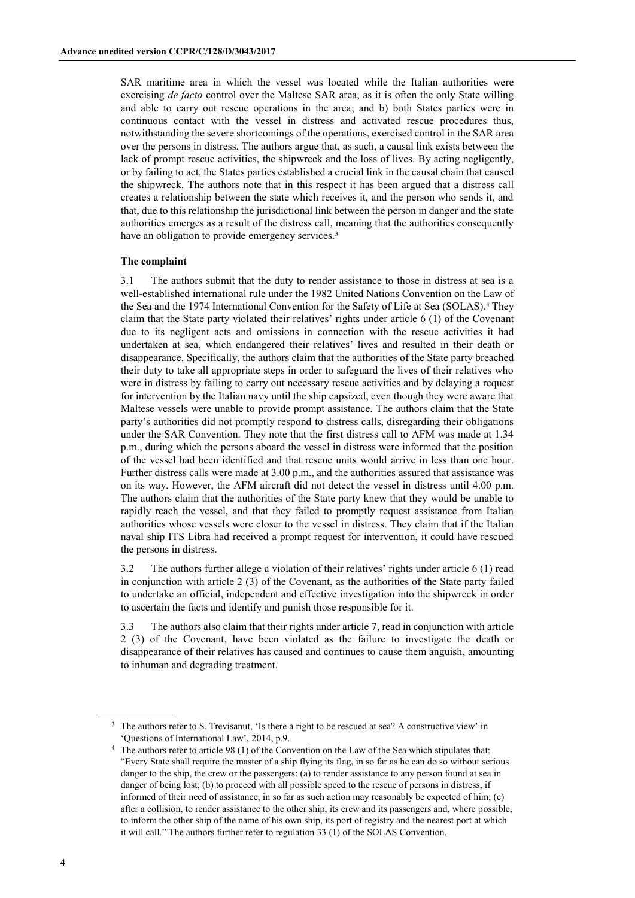SAR maritime area in which the vessel was located while the Italian authorities were exercising *de facto* control over the Maltese SAR area, as it is often the only State willing and able to carry out rescue operations in the area; and b) both States parties were in continuous contact with the vessel in distress and activated rescue procedures thus, notwithstanding the severe shortcomings of the operations, exercised control in the SAR area over the persons in distress. The authors argue that, as such, a causal link exists between the lack of prompt rescue activities, the shipwreck and the loss of lives. By acting negligently, or by failing to act, the States parties established a crucial link in the causal chain that caused the shipwreck. The authors note that in this respect it has been argued that a distress call creates a relationship between the state which receives it, and the person who sends it, and that, due to this relationship the jurisdictional link between the person in danger and the state authorities emerges as a result of the distress call, meaning that the authorities consequently have an obligation to provide emergency services.<sup>3</sup>

### **The complaint**

3.1 The authors submit that the duty to render assistance to those in distress at sea is a well-established international rule under the 1982 United Nations Convention on the Law of the Sea and the 1974 International Convention for the Safety of Life at Sea (SOLAS). <sup>4</sup> They claim that the State party violated their relatives' rights under article 6 (1) of the Covenant due to its negligent acts and omissions in connection with the rescue activities it had undertaken at sea, which endangered their relatives' lives and resulted in their death or disappearance. Specifically, the authors claim that the authorities of the State party breached their duty to take all appropriate steps in order to safeguard the lives of their relatives who were in distress by failing to carry out necessary rescue activities and by delaying a request for intervention by the Italian navy until the ship capsized, even though they were aware that Maltese vessels were unable to provide prompt assistance. The authors claim that the State party's authorities did not promptly respond to distress calls, disregarding their obligations under the SAR Convention. They note that the first distress call to AFM was made at 1.34 p.m., during which the persons aboard the vessel in distress were informed that the position of the vessel had been identified and that rescue units would arrive in less than one hour. Further distress calls were made at 3.00 p.m., and the authorities assured that assistance was on its way. However, the AFM aircraft did not detect the vessel in distress until 4.00 p.m. The authors claim that the authorities of the State party knew that they would be unable to rapidly reach the vessel, and that they failed to promptly request assistance from Italian authorities whose vessels were closer to the vessel in distress. They claim that if the Italian naval ship ITS Libra had received a prompt request for intervention, it could have rescued the persons in distress.

3.2 The authors further allege a violation of their relatives' rights under article 6 (1) read in conjunction with article 2 (3) of the Covenant, as the authorities of the State party failed to undertake an official, independent and effective investigation into the shipwreck in order to ascertain the facts and identify and punish those responsible for it.

3.3 The authors also claim that their rights under article 7, read in conjunction with article 2 (3) of the Covenant, have been violated as the failure to investigate the death or disappearance of their relatives has caused and continues to cause them anguish, amounting to inhuman and degrading treatment.

<sup>&</sup>lt;sup>3</sup> The authors refer to S. Trevisanut, 'Is there a right to be rescued at sea? A constructive view' in 'Questions of International Law', 2014, p.9.

<sup>&</sup>lt;sup>4</sup> The authors refer to article 98 (1) of the Convention on the Law of the Sea which stipulates that: "Every State shall require the master of a ship flying its flag, in so far as he can do so without serious danger to the ship, the crew or the passengers: (a) to render assistance to any person found at sea in danger of being lost; (b) to proceed with all possible speed to the rescue of persons in distress, if informed of their need of assistance, in so far as such action may reasonably be expected of him; (c) after a collision, to render assistance to the other ship, its crew and its passengers and, where possible, to inform the other ship of the name of his own ship, its port of registry and the nearest port at which it will call." The authors further refer to regulation 33 (1) of the SOLAS Convention.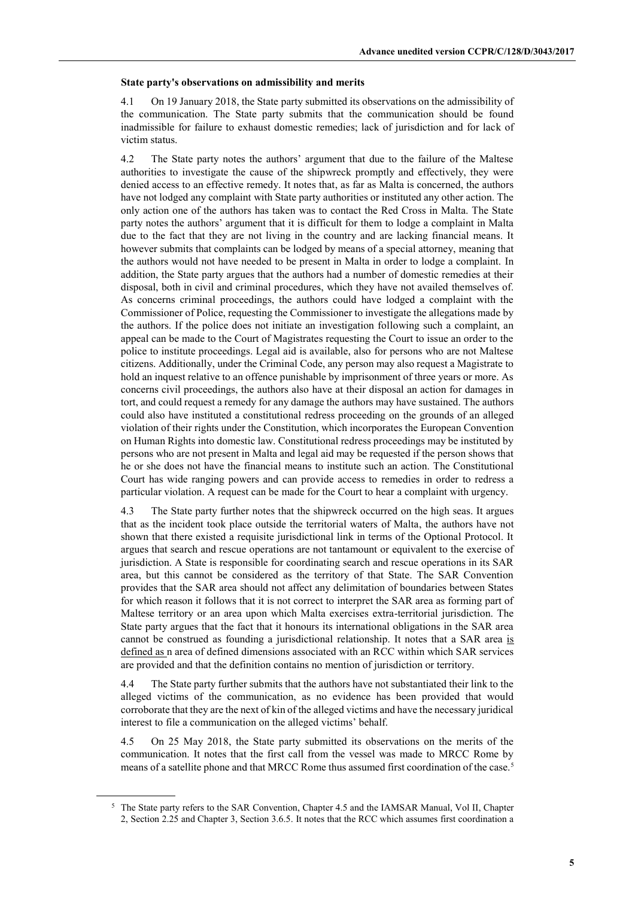#### **State party's observations on admissibility and merits**

4.1 On 19 January 2018, the State party submitted its observations on the admissibility of the communication. The State party submits that the communication should be found inadmissible for failure to exhaust domestic remedies; lack of jurisdiction and for lack of victim status.

4.2 The State party notes the authors' argument that due to the failure of the Maltese authorities to investigate the cause of the shipwreck promptly and effectively, they were denied access to an effective remedy. It notes that, as far as Malta is concerned, the authors have not lodged any complaint with State party authorities or instituted any other action. The only action one of the authors has taken was to contact the Red Cross in Malta. The State party notes the authors' argument that it is difficult for them to lodge a complaint in Malta due to the fact that they are not living in the country and are lacking financial means. It however submits that complaints can be lodged by means of a special attorney, meaning that the authors would not have needed to be present in Malta in order to lodge a complaint. In addition, the State party argues that the authors had a number of domestic remedies at their disposal, both in civil and criminal procedures, which they have not availed themselves of. As concerns criminal proceedings, the authors could have lodged a complaint with the Commissioner of Police, requesting the Commissioner to investigate the allegations made by the authors. If the police does not initiate an investigation following such a complaint, an appeal can be made to the Court of Magistrates requesting the Court to issue an order to the police to institute proceedings. Legal aid is available, also for persons who are not Maltese citizens. Additionally, under the Criminal Code, any person may also request a Magistrate to hold an inquest relative to an offence punishable by imprisonment of three years or more. As concerns civil proceedings, the authors also have at their disposal an action for damages in tort, and could request a remedy for any damage the authors may have sustained. The authors could also have instituted a constitutional redress proceeding on the grounds of an alleged violation of their rights under the Constitution, which incorporates the European Convention on Human Rights into domestic law. Constitutional redress proceedings may be instituted by persons who are not present in Malta and legal aid may be requested if the person shows that he or she does not have the financial means to institute such an action. The Constitutional Court has wide ranging powers and can provide access to remedies in order to redress a particular violation. A request can be made for the Court to hear a complaint with urgency.

4.3 The State party further notes that the shipwreck occurred on the high seas. It argues that as the incident took place outside the territorial waters of Malta, the authors have not shown that there existed a requisite jurisdictional link in terms of the Optional Protocol. It argues that search and rescue operations are not tantamount or equivalent to the exercise of jurisdiction. A State is responsible for coordinating search and rescue operations in its SAR area, but this cannot be considered as the territory of that State. The SAR Convention provides that the SAR area should not affect any delimitation of boundaries between States for which reason it follows that it is not correct to interpret the SAR area as forming part of Maltese territory or an area upon which Malta exercises extra-territorial jurisdiction. The State party argues that the fact that it honours its international obligations in the SAR area cannot be construed as founding a jurisdictional relationship. It notes that a SAR area is defined as n area of defined dimensions associated with an RCC within which SAR services are provided and that the definition contains no mention of jurisdiction or territory.

4.4 The State party further submits that the authors have not substantiated their link to the alleged victims of the communication, as no evidence has been provided that would corroborate that they are the next of kin of the alleged victims and have the necessary juridical interest to file a communication on the alleged victims' behalf.

4.5 On 25 May 2018, the State party submitted its observations on the merits of the communication. It notes that the first call from the vessel was made to MRCC Rome by means of a satellite phone and that MRCC Rome thus assumed first coordination of the case.5

<sup>&</sup>lt;sup>5</sup> The State party refers to the SAR Convention, Chapter 4.5 and the IAMSAR Manual, Vol II, Chapter 2, Section 2.25 and Chapter 3, Section 3.6.5. It notes that the RCC which assumes first coordination a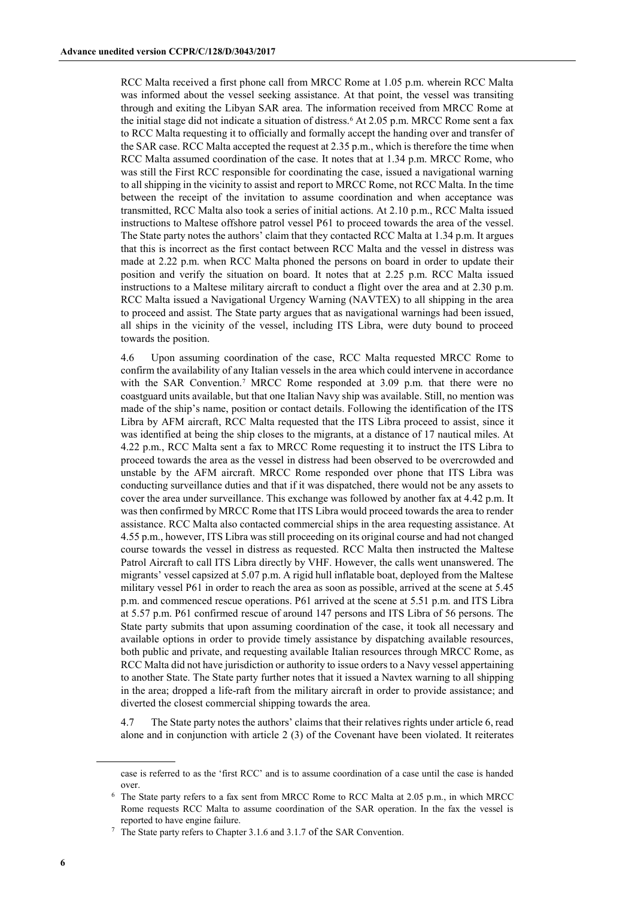RCC Malta received a first phone call from MRCC Rome at 1.05 p.m. wherein RCC Malta was informed about the vessel seeking assistance. At that point, the vessel was transiting through and exiting the Libyan SAR area. The information received from MRCC Rome at the initial stage did not indicate a situation of distress.<sup>6</sup> At 2.05 p.m. MRCC Rome sent a fax to RCC Malta requesting it to officially and formally accept the handing over and transfer of the SAR case. RCC Malta accepted the request at 2.35 p.m., which is therefore the time when RCC Malta assumed coordination of the case. It notes that at 1.34 p.m. MRCC Rome, who was still the First RCC responsible for coordinating the case, issued a navigational warning to all shipping in the vicinity to assist and report to MRCC Rome, not RCC Malta. In the time between the receipt of the invitation to assume coordination and when acceptance was transmitted, RCC Malta also took a series of initial actions. At 2.10 p.m., RCC Malta issued instructions to Maltese offshore patrol vessel P61 to proceed towards the area of the vessel. The State party notes the authors' claim that they contacted RCC Malta at 1.34 p.m. It argues that this is incorrect as the first contact between RCC Malta and the vessel in distress was made at 2.22 p.m. when RCC Malta phoned the persons on board in order to update their position and verify the situation on board. It notes that at 2.25 p.m. RCC Malta issued instructions to a Maltese military aircraft to conduct a flight over the area and at 2.30 p.m. RCC Malta issued a Navigational Urgency Warning (NAVTEX) to all shipping in the area to proceed and assist. The State party argues that as navigational warnings had been issued, all ships in the vicinity of the vessel, including ITS Libra, were duty bound to proceed towards the position.

4.6 Upon assuming coordination of the case, RCC Malta requested MRCC Rome to confirm the availability of any Italian vessels in the area which could intervene in accordance with the SAR Convention.<sup>7</sup> MRCC Rome responded at 3.09 p.m. that there were no coastguard units available, but that one Italian Navy ship was available. Still, no mention was made of the ship's name, position or contact details. Following the identification of the ITS Libra by AFM aircraft, RCC Malta requested that the ITS Libra proceed to assist, since it was identified at being the ship closes to the migrants, at a distance of 17 nautical miles. At 4.22 p.m., RCC Malta sent a fax to MRCC Rome requesting it to instruct the ITS Libra to proceed towards the area as the vessel in distress had been observed to be overcrowded and unstable by the AFM aircraft. MRCC Rome responded over phone that ITS Libra was conducting surveillance duties and that if it was dispatched, there would not be any assets to cover the area under surveillance. This exchange was followed by another fax at 4.42 p.m. It was then confirmed by MRCC Rome that ITS Libra would proceed towards the area to render assistance. RCC Malta also contacted commercial ships in the area requesting assistance. At 4.55 p.m., however, ITS Libra was still proceeding on its original course and had not changed course towards the vessel in distress as requested. RCC Malta then instructed the Maltese Patrol Aircraft to call ITS Libra directly by VHF. However, the calls went unanswered. The migrants' vessel capsized at 5.07 p.m. A rigid hull inflatable boat, deployed from the Maltese military vessel P61 in order to reach the area as soon as possible, arrived at the scene at 5.45 p.m. and commenced rescue operations. P61 arrived at the scene at 5.51 p.m. and ITS Libra at 5.57 p.m. P61 confirmed rescue of around 147 persons and ITS Libra of 56 persons. The State party submits that upon assuming coordination of the case, it took all necessary and available options in order to provide timely assistance by dispatching available resources, both public and private, and requesting available Italian resources through MRCC Rome, as RCC Malta did not have jurisdiction or authority to issue orders to a Navy vessel appertaining to another State. The State party further notes that it issued a Navtex warning to all shipping in the area; dropped a life-raft from the military aircraft in order to provide assistance; and diverted the closest commercial shipping towards the area.

4.7 The State party notes the authors' claims that their relatives rights under article 6, read alone and in conjunction with article 2 (3) of the Covenant have been violated. It reiterates

case is referred to as the 'first RCC' and is to assume coordination of a case until the case is handed over.

<sup>6</sup> The State party refers to a fax sent from MRCC Rome to RCC Malta at 2.05 p.m., in which MRCC Rome requests RCC Malta to assume coordination of the SAR operation. In the fax the vessel is reported to have engine failure.

<sup>7</sup> The State party refers to Chapter 3.1.6 and 3.1.7 of the SAR Convention.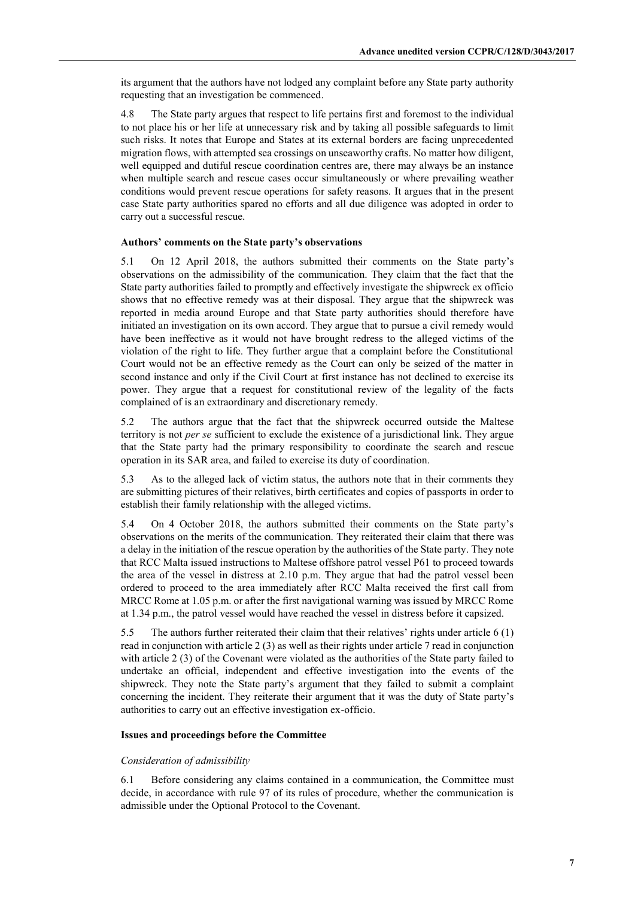its argument that the authors have not lodged any complaint before any State party authority requesting that an investigation be commenced.

4.8 The State party argues that respect to life pertains first and foremost to the individual to not place his or her life at unnecessary risk and by taking all possible safeguards to limit such risks. It notes that Europe and States at its external borders are facing unprecedented migration flows, with attempted sea crossings on unseaworthy crafts. No matter how diligent, well equipped and dutiful rescue coordination centres are, there may always be an instance when multiple search and rescue cases occur simultaneously or where prevailing weather conditions would prevent rescue operations for safety reasons. It argues that in the present case State party authorities spared no efforts and all due diligence was adopted in order to carry out a successful rescue.

#### **Authors' comments on the State party's observations**

5.1 On 12 April 2018, the authors submitted their comments on the State party's observations on the admissibility of the communication. They claim that the fact that the State party authorities failed to promptly and effectively investigate the shipwreck ex officio shows that no effective remedy was at their disposal. They argue that the shipwreck was reported in media around Europe and that State party authorities should therefore have initiated an investigation on its own accord. They argue that to pursue a civil remedy would have been ineffective as it would not have brought redress to the alleged victims of the violation of the right to life. They further argue that a complaint before the Constitutional Court would not be an effective remedy as the Court can only be seized of the matter in second instance and only if the Civil Court at first instance has not declined to exercise its power. They argue that a request for constitutional review of the legality of the facts complained of is an extraordinary and discretionary remedy.

5.2 The authors argue that the fact that the shipwreck occurred outside the Maltese territory is not *per se* sufficient to exclude the existence of a jurisdictional link. They argue that the State party had the primary responsibility to coordinate the search and rescue operation in its SAR area, and failed to exercise its duty of coordination.

5.3 As to the alleged lack of victim status, the authors note that in their comments they are submitting pictures of their relatives, birth certificates and copies of passports in order to establish their family relationship with the alleged victims.

5.4 On 4 October 2018, the authors submitted their comments on the State party's observations on the merits of the communication. They reiterated their claim that there was a delay in the initiation of the rescue operation by the authorities of the State party. They note that RCC Malta issued instructions to Maltese offshore patrol vessel P61 to proceed towards the area of the vessel in distress at 2.10 p.m. They argue that had the patrol vessel been ordered to proceed to the area immediately after RCC Malta received the first call from MRCC Rome at 1.05 p.m. or after the first navigational warning was issued by MRCC Rome at 1.34 p.m., the patrol vessel would have reached the vessel in distress before it capsized.

5.5 The authors further reiterated their claim that their relatives' rights under article 6 (1) read in conjunction with article 2 (3) as well as their rights under article 7 read in conjunction with article 2 (3) of the Covenant were violated as the authorities of the State party failed to undertake an official, independent and effective investigation into the events of the shipwreck. They note the State party's argument that they failed to submit a complaint concerning the incident. They reiterate their argument that it was the duty of State party's authorities to carry out an effective investigation ex-officio.

#### **Issues and proceedings before the Committee**

#### *Consideration of admissibility*

6.1 Before considering any claims contained in a communication, the Committee must decide, in accordance with rule 97 of its rules of procedure, whether the communication is admissible under the Optional Protocol to the Covenant.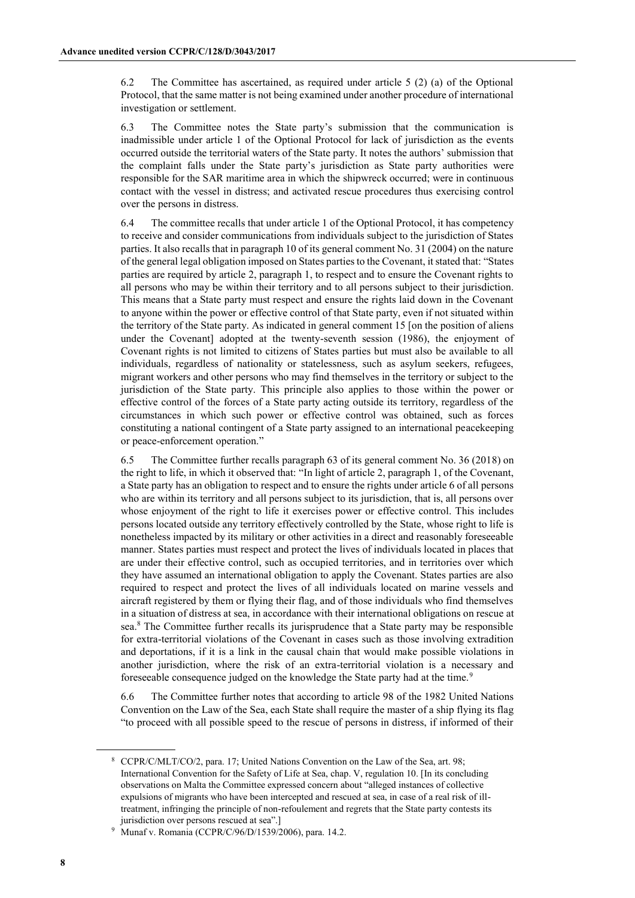6.2 The Committee has ascertained, as required under article 5 (2) (a) of the Optional Protocol, that the same matter is not being examined under another procedure of international investigation or settlement.

6.3 The Committee notes the State party's submission that the communication is inadmissible under article 1 of the Optional Protocol for lack of jurisdiction as the events occurred outside the territorial waters of the State party. It notes the authors' submission that the complaint falls under the State party's jurisdiction as State party authorities were responsible for the SAR maritime area in which the shipwreck occurred; were in continuous contact with the vessel in distress; and activated rescue procedures thus exercising control over the persons in distress.

6.4 The committee recalls that under article 1 of the Optional Protocol, it has competency to receive and consider communications from individuals subject to the jurisdiction of States parties. It also recalls that in paragraph 10 of its general comment No. 31 (2004) on the nature of the general legal obligation imposed on States parties to the Covenant, it stated that: "States parties are required by article 2, paragraph 1, to respect and to ensure the Covenant rights to all persons who may be within their territory and to all persons subject to their jurisdiction. This means that a State party must respect and ensure the rights laid down in the Covenant to anyone within the power or effective control of that State party, even if not situated within the territory of the State party. As indicated in general comment 15 [on the position of aliens under the Covenant] adopted at the twenty-seventh session (1986), the enjoyment of Covenant rights is not limited to citizens of States parties but must also be available to all individuals, regardless of nationality or statelessness, such as asylum seekers, refugees, migrant workers and other persons who may find themselves in the territory or subject to the jurisdiction of the State party. This principle also applies to those within the power or effective control of the forces of a State party acting outside its territory, regardless of the circumstances in which such power or effective control was obtained, such as forces constituting a national contingent of a State party assigned to an international peacekeeping or peace-enforcement operation."

6.5 The Committee further recalls paragraph 63 of its general comment No. 36 (2018) on the right to life, in which it observed that: "In light of article 2, paragraph 1, of the Covenant, a State party has an obligation to respect and to ensure the rights under article 6 of all persons who are within its territory and all persons subject to its jurisdiction, that is, all persons over whose enjoyment of the right to life it exercises power or effective control. This includes persons located outside any territory effectively controlled by the State, whose right to life is nonetheless impacted by its military or other activities in a direct and reasonably foreseeable manner. States parties must respect and protect the lives of individuals located in places that are under their effective control, such as occupied territories, and in territories over which they have assumed an international obligation to apply the Covenant. States parties are also required to respect and protect the lives of all individuals located on marine vessels and aircraft registered by them or flying their flag, and of those individuals who find themselves in a situation of distress at sea, in accordance with their international obligations on rescue at sea.8 The Committee further recalls its jurisprudence that a State party may be responsible for extra-territorial violations of the Covenant in cases such as those involving extradition and deportations, if it is a link in the causal chain that would make possible violations in another jurisdiction, where the risk of an extra-territorial violation is a necessary and foreseeable consequence judged on the knowledge the State party had at the time.<sup>9</sup>

6.6 The Committee further notes that according to article 98 of the 1982 United Nations Convention on the Law of the Sea, each State shall require the master of a ship flying its flag "to proceed with all possible speed to the rescue of persons in distress, if informed of their

<sup>8</sup> CCPR/C/MLT/CO/2, para. 17; United Nations Convention on the Law of the Sea, art. 98; International Convention for the Safety of Life at Sea, chap. V, regulation 10. [In its concluding observations on Malta the Committee expressed concern about "alleged instances of collective expulsions of migrants who have been intercepted and rescued at sea, in case of a real risk of illtreatment, infringing the principle of non-refoulement and regrets that the State party contests its jurisdiction over persons rescued at sea".]

<sup>9</sup> Munaf v. Romania (CCPR/C/96/D/1539/2006), para. 14.2.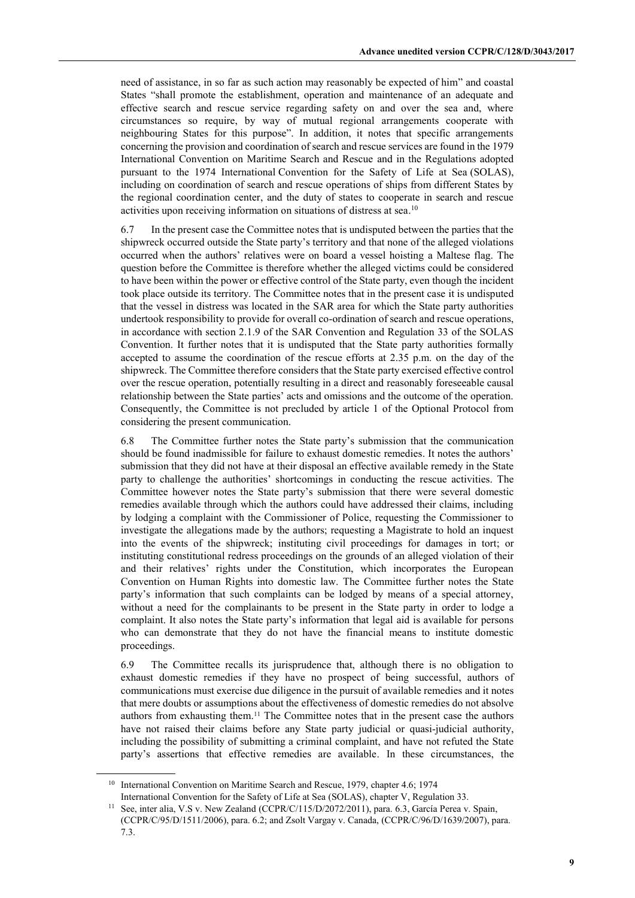need of assistance, in so far as such action may reasonably be expected of him" and coastal States "shall promote the establishment, operation and maintenance of an adequate and effective search and rescue service regarding safety on and over the sea and, where circumstances so require, by way of mutual regional arrangements cooperate with neighbouring States for this purpose". In addition, it notes that specific arrangements concerning the provision and coordination of search and rescue services are found in the 1979 International Convention on Maritime Search and Rescue and in the Regulations adopted pursuant to the 1974 International Convention for the Safety of Life at Sea (SOLAS), including on coordination of search and rescue operations of ships from different States by the regional coordination center, and the duty of states to cooperate in search and rescue activities upon receiving information on situations of distress at sea. 10

6.7 In the present case the Committee notes that is undisputed between the parties that the shipwreck occurred outside the State party's territory and that none of the alleged violations occurred when the authors' relatives were on board a vessel hoisting a Maltese flag. The question before the Committee is therefore whether the alleged victims could be considered to have been within the power or effective control of the State party, even though the incident took place outside its territory. The Committee notes that in the present case it is undisputed that the vessel in distress was located in the SAR area for which the State party authorities undertook responsibility to provide for overall co-ordination of search and rescue operations, in accordance with section 2.1.9 of the SAR Convention and Regulation 33 of the SOLAS Convention. It further notes that it is undisputed that the State party authorities formally accepted to assume the coordination of the rescue efforts at 2.35 p.m. on the day of the shipwreck. The Committee therefore considers that the State party exercised effective control over the rescue operation, potentially resulting in a direct and reasonably foreseeable causal relationship between the State parties' acts and omissions and the outcome of the operation. Consequently, the Committee is not precluded by article 1 of the Optional Protocol from considering the present communication.

6.8 The Committee further notes the State party's submission that the communication should be found inadmissible for failure to exhaust domestic remedies. It notes the authors' submission that they did not have at their disposal an effective available remedy in the State party to challenge the authorities' shortcomings in conducting the rescue activities. The Committee however notes the State party's submission that there were several domestic remedies available through which the authors could have addressed their claims, including by lodging a complaint with the Commissioner of Police, requesting the Commissioner to investigate the allegations made by the authors; requesting a Magistrate to hold an inquest into the events of the shipwreck; instituting civil proceedings for damages in tort; or instituting constitutional redress proceedings on the grounds of an alleged violation of their and their relatives' rights under the Constitution, which incorporates the European Convention on Human Rights into domestic law. The Committee further notes the State party's information that such complaints can be lodged by means of a special attorney, without a need for the complainants to be present in the State party in order to lodge a complaint. It also notes the State party's information that legal aid is available for persons who can demonstrate that they do not have the financial means to institute domestic proceedings.

6.9 The Committee recalls its jurisprudence that, although there is no obligation to exhaust domestic remedies if they have no prospect of being successful, authors of communications must exercise due diligence in the pursuit of available remedies and it notes that mere doubts or assumptions about the effectiveness of domestic remedies do not absolve authors from exhausting them.11 The Committee notes that in the present case the authors have not raised their claims before any State party judicial or quasi-judicial authority, including the possibility of submitting a criminal complaint, and have not refuted the State party's assertions that effective remedies are available. In these circumstances, the

<sup>&</sup>lt;sup>10</sup> International Convention on Maritime Search and Rescue, 1979, chapter 4.6; 1974 International Convention for the Safety of Life at Sea (SOLAS), chapter V, Regulation 33.

See, inter alia, V.S v. New Zealand (CCPR/C/115/D/2072/2011), para. 6.3, García Perea v. Spain, (CCPR/C/95/D/1511/2006), para. 6.2; and Zsolt Vargay v. Canada, (CCPR/C/96/D/1639/2007), para. 7.3.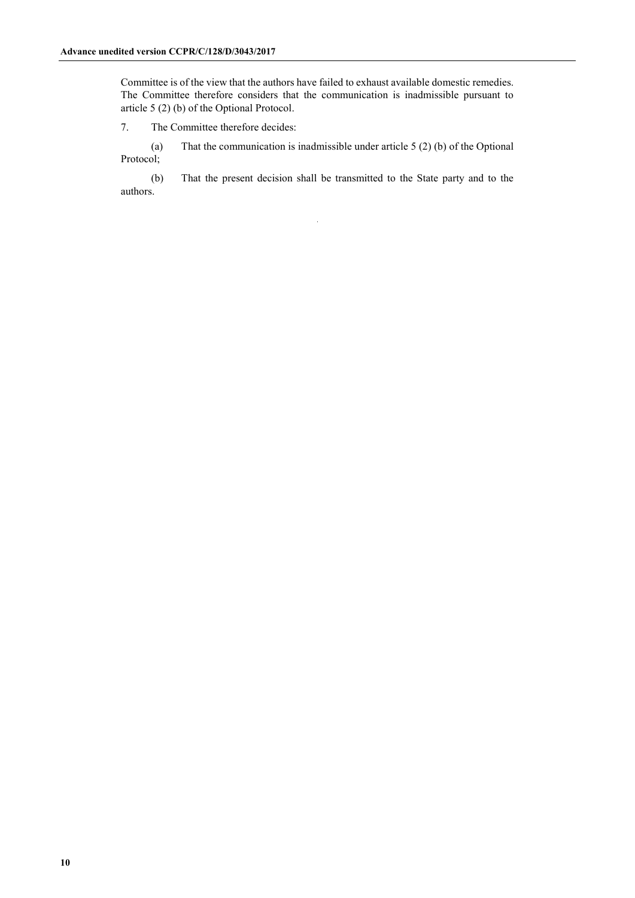Committee is of the view that the authors have failed to exhaust available domestic remedies. The Committee therefore considers that the communication is inadmissible pursuant to article 5 (2) (b) of the Optional Protocol.

7. The Committee therefore decides:

(a) That the communication is inadmissible under article 5 (2) (b) of the Optional Protocol;

(b) That the present decision shall be transmitted to the State party and to the authors.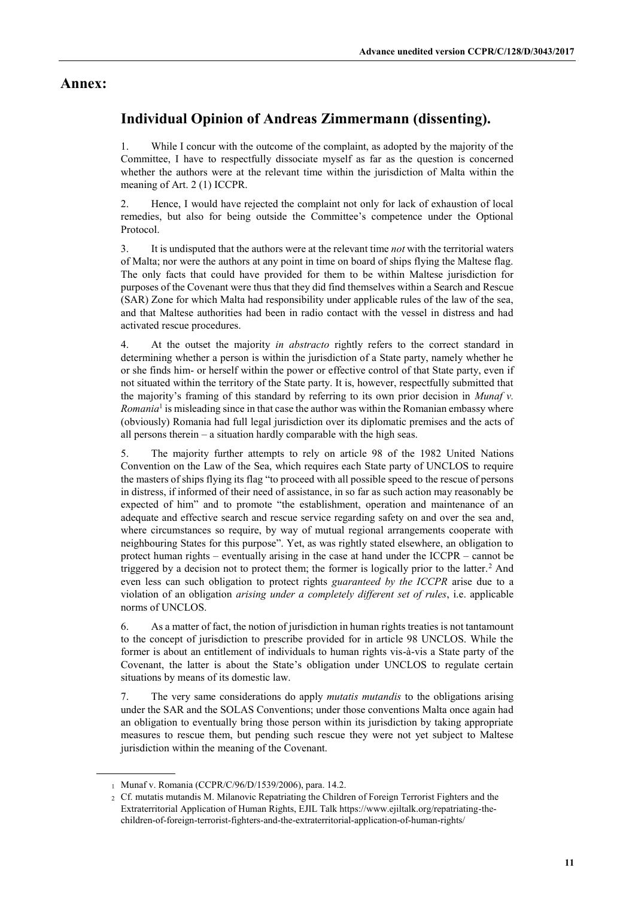### **Annex:**

# **Individual Opinion of Andreas Zimmermann (dissenting).**

1. While I concur with the outcome of the complaint, as adopted by the majority of the Committee, I have to respectfully dissociate myself as far as the question is concerned whether the authors were at the relevant time within the jurisdiction of Malta within the meaning of Art. 2 (1) ICCPR.

2. Hence, I would have rejected the complaint not only for lack of exhaustion of local remedies, but also for being outside the Committee's competence under the Optional Protocol.

3. It is undisputed that the authors were at the relevant time *not* with the territorial waters of Malta; nor were the authors at any point in time on board of ships flying the Maltese flag. The only facts that could have provided for them to be within Maltese jurisdiction for purposes of the Covenant were thus that they did find themselves within a Search and Rescue (SAR) Zone for which Malta had responsibility under applicable rules of the law of the sea, and that Maltese authorities had been in radio contact with the vessel in distress and had activated rescue procedures.

4. At the outset the majority *in abstracto* rightly refers to the correct standard in determining whether a person is within the jurisdiction of a State party, namely whether he or she finds him- or herself within the power or effective control of that State party, even if not situated within the territory of the State party. It is, however, respectfully submitted that the majority's framing of this standard by referring to its own prior decision in *Munaf v. Romania*<sup>1</sup> is misleading since in that case the author was within the Romanian embassy where (obviously) Romania had full legal jurisdiction over its diplomatic premises and the acts of all persons therein – a situation hardly comparable with the high seas.

5. The majority further attempts to rely on article 98 of the 1982 United Nations Convention on the Law of the Sea, which requires each State party of UNCLOS to require the masters of ships flying its flag "to proceed with all possible speed to the rescue of persons in distress, if informed of their need of assistance, in so far as such action may reasonably be expected of him" and to promote "the establishment, operation and maintenance of an adequate and effective search and rescue service regarding safety on and over the sea and, where circumstances so require, by way of mutual regional arrangements cooperate with neighbouring States for this purpose". Yet, as was rightly stated elsewhere, an obligation to protect human rights – eventually arising in the case at hand under the ICCPR – cannot be triggered by a decision not to protect them; the former is logically prior to the latter.<sup>2</sup> And even less can such obligation to protect rights *guaranteed by the ICCPR* arise due to a violation of an obligation *arising under a completely different set of rules*, i.e. applicable norms of UNCLOS.

6. As a matter of fact, the notion of jurisdiction in human rights treaties is not tantamount to the concept of jurisdiction to prescribe provided for in article 98 UNCLOS. While the former is about an entitlement of individuals to human rights vis-à-vis a State party of the Covenant, the latter is about the State's obligation under UNCLOS to regulate certain situations by means of its domestic law.

7. The very same considerations do apply *mutatis mutandis* to the obligations arising under the SAR and the SOLAS Conventions; under those conventions Malta once again had an obligation to eventually bring those person within its jurisdiction by taking appropriate measures to rescue them, but pending such rescue they were not yet subject to Maltese jurisdiction within the meaning of the Covenant.

<sup>1</sup> Munaf v. Romania (CCPR/C/96/D/1539/2006), para. 14.2.

<sup>2</sup> Cf. mutatis mutandis M. Milanovic Repatriating the Children of Foreign Terrorist Fighters and the Extraterritorial Application of Human Rights, EJIL Talk https://www.ejiltalk.org/repatriating-thechildren-of-foreign-terrorist-fighters-and-the-extraterritorial-application-of-human-rights/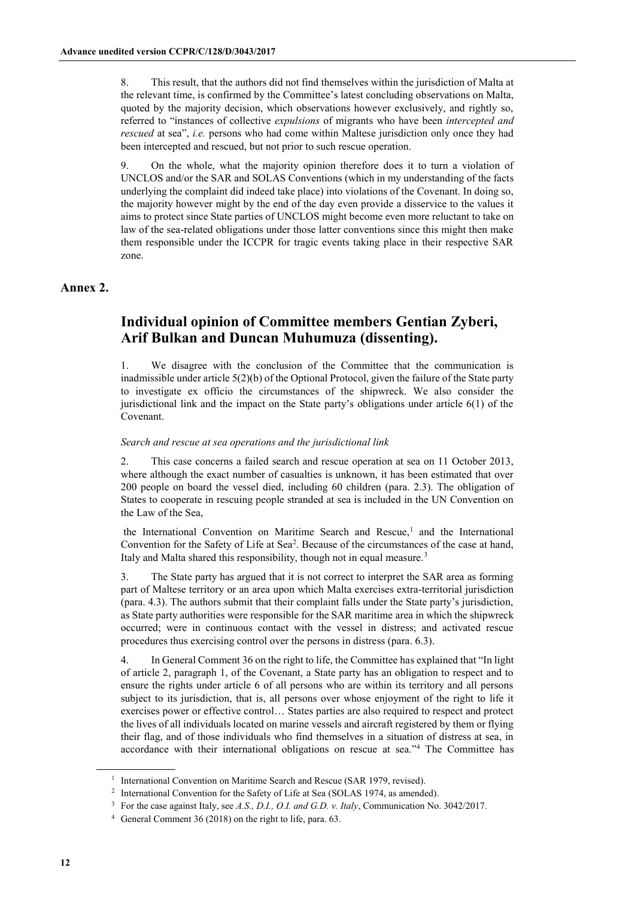8. This result, that the authors did not find themselves within the jurisdiction of Malta at the relevant time, is confirmed by the Committee's latest concluding observations on Malta, quoted by the majority decision, which observations however exclusively, and rightly so, referred to "instances of collective *expulsions* of migrants who have been *intercepted and rescued* at sea", *i.e.* persons who had come within Maltese jurisdiction only once they had been intercepted and rescued, but not prior to such rescue operation.

9. On the whole, what the majority opinion therefore does it to turn a violation of UNCLOS and/or the SAR and SOLAS Conventions (which in my understanding of the facts underlying the complaint did indeed take place) into violations of the Covenant. In doing so, the majority however might by the end of the day even provide a disservice to the values it aims to protect since State parties of UNCLOS might become even more reluctant to take on law of the sea-related obligations under those latter conventions since this might then make them responsible under the ICCPR for tragic events taking place in their respective SAR zone.

### **Annex 2.**

## **Individual opinion of Committee members Gentian Zyberi, Arif Bulkan and Duncan Muhumuza (dissenting).**

1. We disagree with the conclusion of the Committee that the communication is inadmissible under article 5(2)(b) of the Optional Protocol, given the failure of the State party to investigate ex officio the circumstances of the shipwreck. We also consider the jurisdictional link and the impact on the State party's obligations under article 6(1) of the Covenant.

### *Search and rescue at sea operations and the jurisdictional link*

2. This case concerns a failed search and rescue operation at sea on 11 October 2013, where although the exact number of casualties is unknown, it has been estimated that over 200 people on board the vessel died, including 60 children (para. 2.3). The obligation of States to cooperate in rescuing people stranded at sea is included in the UN Convention on the Law of the Sea,

the International Convention on Maritime Search and Rescue,<sup>1</sup> and the International Convention for the Safety of Life at Sea<sup>2</sup>. Because of the circumstances of the case at hand, Italy and Malta shared this responsibility, though not in equal measure.<sup>3</sup>

3. The State party has argued that it is not correct to interpret the SAR area as forming part of Maltese territory or an area upon which Malta exercises extra-territorial jurisdiction (para. 4.3). The authors submit that their complaint falls under the State party's jurisdiction, as State party authorities were responsible for the SAR maritime area in which the shipwreck occurred; were in continuous contact with the vessel in distress; and activated rescue procedures thus exercising control over the persons in distress (para. 6.3).

4. In General Comment 36 on the right to life, the Committee has explained that "In light of article 2, paragraph 1, of the Covenant, a State party has an obligation to respect and to ensure the rights under article 6 of all persons who are within its territory and all persons subject to its jurisdiction, that is, all persons over whose enjoyment of the right to life it exercises power or effective control… States parties are also required to respect and protect the lives of all individuals located on marine vessels and aircraft registered by them or flying their flag, and of those individuals who find themselves in a situation of distress at sea, in accordance with their international obligations on rescue at sea."<sup>4</sup> The Committee has

<sup>&</sup>lt;sup>1</sup> International Convention on Maritime Search and Rescue (SAR 1979, revised).

<sup>2</sup> International Convention for the Safety of Life at Sea (SOLAS 1974, as amended).

<sup>3</sup> For the case against Italy, see *A.S., D.I., O.I. and G.D. v. Italy*, Communication No. 3042/2017.

<sup>4</sup> General Comment 36 (2018) on the right to life, para. 63.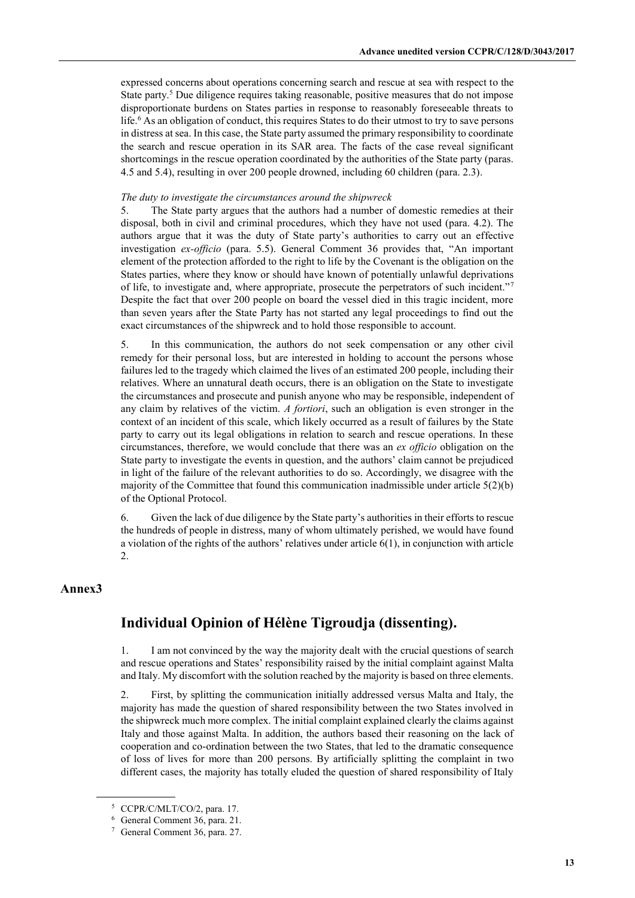expressed concerns about operations concerning search and rescue at sea with respect to the State party.<sup>5</sup> Due diligence requires taking reasonable, positive measures that do not impose disproportionate burdens on States parties in response to reasonably foreseeable threats to life.<sup>6</sup> As an obligation of conduct, this requires States to do their utmost to try to save persons in distress at sea. In this case, the State party assumed the primary responsibility to coordinate the search and rescue operation in its SAR area. The facts of the case reveal significant shortcomings in the rescue operation coordinated by the authorities of the State party (paras. 4.5 and 5.4), resulting in over 200 people drowned, including 60 children (para. 2.3).

### *The duty to investigate the circumstances around the shipwreck*

5. The State party argues that the authors had a number of domestic remedies at their disposal, both in civil and criminal procedures, which they have not used (para. 4.2). The authors argue that it was the duty of State party's authorities to carry out an effective investigation *ex-officio* (para. 5.5). General Comment 36 provides that, "An important element of the protection afforded to the right to life by the Covenant is the obligation on the States parties, where they know or should have known of potentially unlawful deprivations of life, to investigate and, where appropriate, prosecute the perpetrators of such incident."<sup>7</sup> Despite the fact that over 200 people on board the vessel died in this tragic incident, more than seven years after the State Party has not started any legal proceedings to find out the exact circumstances of the shipwreck and to hold those responsible to account.

5. In this communication, the authors do not seek compensation or any other civil remedy for their personal loss, but are interested in holding to account the persons whose failures led to the tragedy which claimed the lives of an estimated 200 people, including their relatives. Where an unnatural death occurs, there is an obligation on the State to investigate the circumstances and prosecute and punish anyone who may be responsible, independent of any claim by relatives of the victim. *A fortiori*, such an obligation is even stronger in the context of an incident of this scale, which likely occurred as a result of failures by the State party to carry out its legal obligations in relation to search and rescue operations. In these circumstances, therefore, we would conclude that there was an *ex officio* obligation on the State party to investigate the events in question, and the authors' claim cannot be prejudiced in light of the failure of the relevant authorities to do so. Accordingly, we disagree with the majority of the Committee that found this communication inadmissible under article  $5(2)(b)$ of the Optional Protocol.

6. Given the lack of due diligence by the State party's authorities in their efforts to rescue the hundreds of people in distress, many of whom ultimately perished, we would have found a violation of the rights of the authors' relatives under article  $6(1)$ , in conjunction with article 2.

### **Annex3**

# **Individual Opinion of Hélène Tigroudja (dissenting).**

1. I am not convinced by the way the majority dealt with the crucial questions of search and rescue operations and States' responsibility raised by the initial complaint against Malta and Italy. My discomfort with the solution reached by the majority is based on three elements.

2. First, by splitting the communication initially addressed versus Malta and Italy, the majority has made the question of shared responsibility between the two States involved in the shipwreck much more complex. The initial complaint explained clearly the claims against Italy and those against Malta. In addition, the authors based their reasoning on the lack of cooperation and co-ordination between the two States, that led to the dramatic consequence of loss of lives for more than 200 persons. By artificially splitting the complaint in two different cases, the majority has totally eluded the question of shared responsibility of Italy

<sup>5</sup> CCPR/C/MLT/CO/2, para. 17.

<sup>6</sup> General Comment 36, para. 21.

<sup>7</sup> General Comment 36, para. 27.